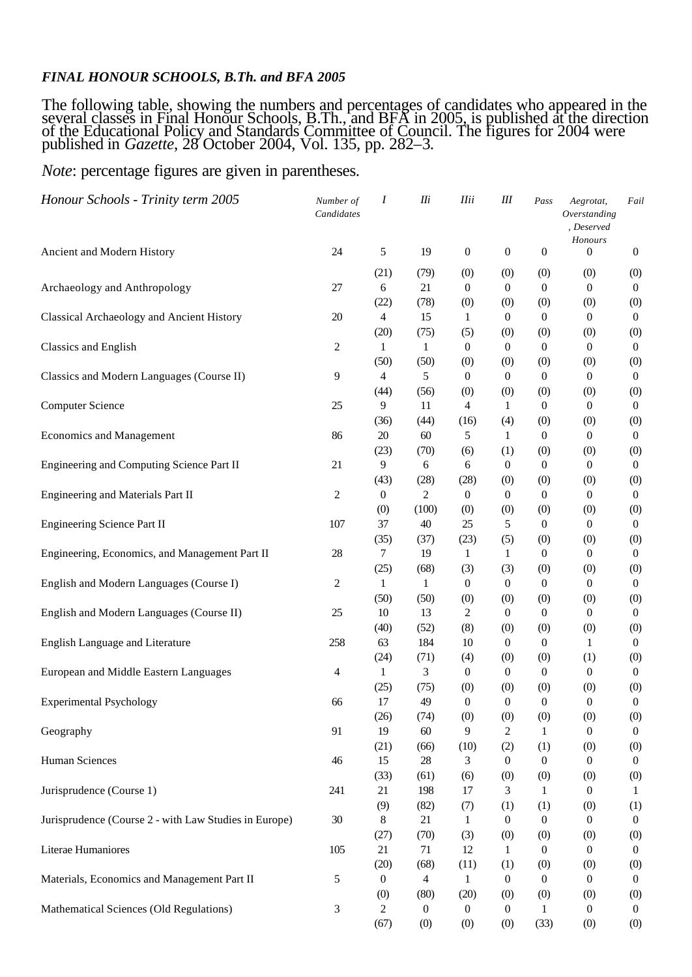## *FINAL HONOUR SCHOOLS, B.Th. and BFA 2005*

The following table, showing the numbers and percentages of candidates who appeared in the several classes in Final Honour Schools, B.Th., and BFA in 2005, is published at the direction of the Educational Policy and Standards Committee of Council. The figures for 2004 were published in *Gazette*, 28 October 2004, Vol. 135, pp. 282–3.

## *Note*: percentage figures are given in parentheses.

| Honour Schools - Trinity term 2005                    | Number of<br>Candidates | Ι                | <b>IIi</b>       | <b>Ilii</b>         | Ш                       | Pass                    | Aegrotat,<br>Overstanding<br>, Deserved<br>Honours | Fail                    |
|-------------------------------------------------------|-------------------------|------------------|------------------|---------------------|-------------------------|-------------------------|----------------------------------------------------|-------------------------|
| Ancient and Modern History                            | 24                      | 5                | 19               | $\boldsymbol{0}$    | $\mathbf{0}$            | $\boldsymbol{0}$        | $\overline{0}$                                     | $\boldsymbol{0}$        |
|                                                       |                         | (21)             | (79)             | (0)                 | (0)                     | (0)                     | (0)                                                | (0)                     |
| Archaeology and Anthropology                          | 27                      | 6                | 21               | $\mathbf{0}$        | $\theta$                | $\boldsymbol{0}$        | 0                                                  | $\boldsymbol{0}$        |
| Classical Archaeology and Ancient History             |                         | (22)             | (78)             | (0)                 | (0)                     | (0)                     | (0)                                                | (0)                     |
|                                                       | 20                      | 4<br>(20)        | 15<br>(75)       | 1                   | $\mathbf{0}$<br>(0)     | $\boldsymbol{0}$<br>(0) | 0<br>(0)                                           | $\boldsymbol{0}$<br>(0) |
| Classics and English                                  | 2                       | 1                | 1                | (5)<br>$\mathbf{0}$ | $\mathbf{0}$            | $\boldsymbol{0}$        | 0                                                  | $\boldsymbol{0}$        |
|                                                       |                         | (50)             | (50)             | (0)                 | (0)                     | (0)                     | (0)                                                | (0)                     |
| Classics and Modern Languages (Course II)             | 9                       | 4                | 5                | $\theta$            | $\mathbf{0}$            | $\boldsymbol{0}$        | 0                                                  | $\boldsymbol{0}$        |
|                                                       |                         | (44)             | (56)             | (0)                 | (0)                     | (0)                     | (0)                                                | (0)                     |
| <b>Computer Science</b>                               | 25                      | 9                | 11               | 4                   | 1                       | $\boldsymbol{0}$        | 0                                                  | $\boldsymbol{0}$        |
|                                                       |                         | (36)             | (44)             | (16)                | (4)                     | (0)                     | (0)                                                | (0)                     |
| <b>Economics and Management</b>                       | 86                      | 20               | 60               | 5                   | 1                       | $\boldsymbol{0}$        | $\mathbf{0}$                                       | $\boldsymbol{0}$        |
|                                                       |                         | (23)             | (70)             | (6)                 | (1)                     | (0)                     | (0)                                                | (0)                     |
| Engineering and Computing Science Part II             | 21                      | 9                | 6                | 6                   | $\mathbf{0}$            | $\boldsymbol{0}$        | 0                                                  | $\boldsymbol{0}$        |
|                                                       |                         | (43)             | (28)             | (28)                | (0)                     | (0)                     | (0)                                                | (0)                     |
| Engineering and Materials Part II                     | $\overline{c}$          | $\boldsymbol{0}$ | 2                | $\overline{0}$      | $\overline{0}$          | $\boldsymbol{0}$        | $\theta$                                           | $\boldsymbol{0}$        |
|                                                       |                         | (0)              | (100)            | (0)                 | (0)                     | (0)                     | (0)                                                | (0)                     |
| <b>Engineering Science Part II</b>                    | 107                     | 37               | 40               | 25                  | 5                       | $\boldsymbol{0}$        | 0                                                  | $\boldsymbol{0}$        |
|                                                       |                         | (35)             | (37)             | (23)                | (5)                     | (0)                     | (0)                                                | (0)                     |
| Engineering, Economics, and Management Part II        | 28                      | 7                | 19               | 1                   | 1                       | $\boldsymbol{0}$        | 0                                                  | $\boldsymbol{0}$        |
|                                                       |                         | (25)             | (68)             | (3)                 | (3)                     | (0)                     | (0)                                                | (0)                     |
| English and Modern Languages (Course I)               | 2                       | $\mathbf{1}$     | 1                | $\boldsymbol{0}$    | $\boldsymbol{0}$        | $\boldsymbol{0}$        | 0                                                  | $\boldsymbol{0}$        |
| English and Modern Languages (Course II)              |                         | (50)             | (50)             | (0)                 | (0)                     | (0)                     | (0)                                                | (0)                     |
|                                                       | 25                      | 10<br>(40)       | 13<br>(52)       | 2<br>(8)            | $\overline{0}$          | $\boldsymbol{0}$        | $\theta$                                           | $\boldsymbol{0}$        |
| English Language and Literature                       | 258                     | 63               | 184              | 10                  | (0)<br>$\boldsymbol{0}$ | (0)<br>$\boldsymbol{0}$ | (0)<br>1                                           | (0)<br>$\boldsymbol{0}$ |
|                                                       |                         | (24)             | (71)             | (4)                 | (0)                     | (0)                     | (1)                                                | (0)                     |
| European and Middle Eastern Languages                 | 4                       | 1                | 3                | $\boldsymbol{0}$    | $\boldsymbol{0}$        | $\boldsymbol{0}$        | 0                                                  | $\boldsymbol{0}$        |
|                                                       |                         | (25)             | (75)             | (0)                 | (0)                     | (0)                     | (0)                                                | (0)                     |
| <b>Experimental Psychology</b>                        | 66                      | 17               | 49               | $\boldsymbol{0}$    | $\boldsymbol{0}$        | $\boldsymbol{0}$        | $\boldsymbol{0}$                                   | $\boldsymbol{0}$        |
|                                                       |                         | (26)             | (74)             | (0)                 | (0)                     | (0)                     | (0)                                                | (0)                     |
| Geography                                             | 91                      | 19               | 60               | 9                   | 2                       | 1                       | 0                                                  | $\overline{0}$          |
|                                                       |                         | (21)             | (66)             | (10)                | (2)                     | (1)                     | (0)                                                | (0)                     |
| <b>Human Sciences</b>                                 | 46                      | 15               | $28\,$           | 3                   | $\boldsymbol{0}$        | $\boldsymbol{0}$        | $\theta$                                           | $\overline{0}$          |
|                                                       |                         | (33)             | (61)             | (6)                 | (0)                     | (0)                     | (0)                                                | (0)                     |
| Jurisprudence (Course 1)                              | 241                     | 21               | 198              | 17                  | 3                       | 1                       | 0                                                  | 1                       |
|                                                       |                         | (9)              | (82)             | (7)                 | (1)                     | (1)                     | (0)                                                | (1)                     |
| Jurisprudence (Course 2 - with Law Studies in Europe) | 30                      | 8                | 21               | 1                   | $\boldsymbol{0}$        | $\boldsymbol{0}$        | 0                                                  | $\overline{0}$          |
|                                                       |                         | (27)             | (70)             | (3)                 | (0)                     | (0)                     | (0)                                                | (0)                     |
| Literae Humaniores                                    | 105                     | 21               | 71               | 12                  | 1                       | $\boldsymbol{0}$        | 0                                                  | $\overline{0}$          |
|                                                       |                         | (20)             | (68)             | (11)                | (1)                     | (0)                     | (0)                                                | (0)                     |
| Materials, Economics and Management Part II           | 5                       | $\boldsymbol{0}$ | 4                | 1                   | $\overline{0}$          | $\boldsymbol{0}$        | 0                                                  | $\overline{0}$          |
|                                                       |                         | (0)              | (80)             | (20)                | (0)                     | (0)                     | (0)                                                | (0)                     |
| Mathematical Sciences (Old Regulations)               | 3                       | 2                | $\boldsymbol{0}$ | $\boldsymbol{0}$    | $\boldsymbol{0}$        | 1                       | 0                                                  | $\mathbf{0}$            |
|                                                       |                         | (67)             | (0)              | (0)                 | (0)                     | (33)                    | (0)                                                | (0)                     |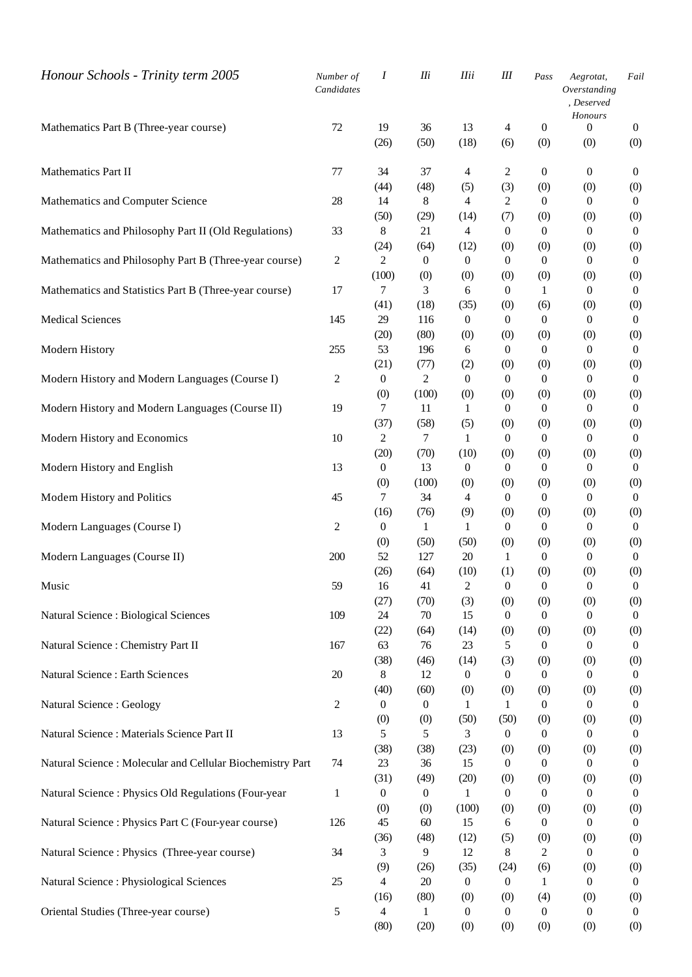| Honour Schools - Trinity term 2005                         | Number of<br>Candidates | Ι                      | IIi                    | <b>Ilii</b>      | Ш                   | Pass                    | Aegrotat,<br>Overstanding<br>, Deserved<br>Honours | Fail                    |
|------------------------------------------------------------|-------------------------|------------------------|------------------------|------------------|---------------------|-------------------------|----------------------------------------------------|-------------------------|
| Mathematics Part B (Three-year course)                     | 72                      | 19                     | 36                     | 13               | 4                   | $\boldsymbol{0}$        | $\theta$                                           | $\mathbf{0}$            |
|                                                            |                         | (26)                   | (50)                   | (18)             | (6)                 | (0)                     | (0)                                                | (0)                     |
| Mathematics Part II                                        | 77                      | 34                     | 37                     | $\overline{4}$   | 2                   | $\boldsymbol{0}$        | $\boldsymbol{0}$                                   | $\boldsymbol{0}$        |
|                                                            |                         | (44)                   | (48)                   | (5)              | (3)                 | (0)                     | (0)                                                | (0)                     |
| Mathematics and Computer Science                           | 28                      | 14                     | 8                      | $\overline{4}$   | 2                   | $\boldsymbol{0}$        | $\theta$                                           | $\mathbf{0}$            |
|                                                            |                         | (50)                   | (29)                   | (14)             | (7)                 | (0)                     | (0)                                                | (0)                     |
| Mathematics and Philosophy Part II (Old Regulations)       | 33                      | 8                      | 21                     | $\overline{4}$   | $\overline{0}$      | $\boldsymbol{0}$        | $\theta$                                           | $\boldsymbol{0}$        |
|                                                            |                         | (24)                   | (64)                   | (12)             | (0)                 | (0)                     | (0)                                                | (0)                     |
| Mathematics and Philosophy Part B (Three-year course)      | $\overline{c}$          | $\overline{2}$         | $\boldsymbol{0}$       | $\boldsymbol{0}$ | $\mathbf{0}$        | $\boldsymbol{0}$        | $\mathbf{0}$                                       | $\boldsymbol{0}$        |
| Mathematics and Statistics Part B (Three-year course)      | 17                      | (100)<br>7             | (0)<br>3               | (0)<br>6         | (0)<br>$\mathbf{0}$ | (0)<br>1                | (0)<br>0                                           | (0)<br>$\mathbf{0}$     |
|                                                            |                         | (41)                   | (18)                   | (35)             | (0)                 | (6)                     | (0)                                                | (0)                     |
| <b>Medical Sciences</b>                                    | 145                     | 29                     | 116                    | $\boldsymbol{0}$ | $\overline{0}$      | $\mathbf{0}$            | $\theta$                                           | $\boldsymbol{0}$        |
|                                                            |                         | (20)                   | (80)                   | (0)              | (0)                 | (0)                     | (0)                                                | (0)                     |
| Modern History                                             | 255                     | 53                     | 196                    | 6                | $\mathbf{0}$        | $\mathbf{0}$            | $\theta$                                           | $\overline{0}$          |
|                                                            |                         | (21)                   | (77)                   | (2)              | (0)                 | (0)                     | (0)                                                | (0)                     |
| Modern History and Modern Languages (Course I)             | 2                       | $\boldsymbol{0}$       | 2                      | $\boldsymbol{0}$ | $\mathbf{0}$        | $\mathbf{0}$            | $\boldsymbol{0}$                                   | $\boldsymbol{0}$        |
|                                                            |                         | (0)                    | (100)                  | (0)              | (0)                 | (0)                     | (0)                                                | (0)                     |
| Modern History and Modern Languages (Course II)            | 19                      | 7                      | 11                     | 1                | $\overline{0}$      | $\mathbf{0}$            | $\theta$                                           | $\overline{0}$          |
|                                                            |                         | (37)                   | (58)                   | (5)              | (0)                 | (0)                     | (0)                                                | (0)                     |
| Modern History and Economics                               | 10                      | 2                      | $\tau$                 | $\mathbf{1}$     | $\overline{0}$      | $\mathbf{0}$            | $\theta$                                           | $\boldsymbol{0}$        |
|                                                            |                         | (20)                   | (70)                   | (10)             | (0)                 | (0)                     | (0)                                                | (0)                     |
| Modern History and English                                 | 13                      | $\boldsymbol{0}$       | 13                     | $\boldsymbol{0}$ | $\overline{0}$      | $\boldsymbol{0}$        | $\theta$                                           | $\boldsymbol{0}$        |
|                                                            |                         | (0)                    | (100)                  | (0)              | (0)                 | (0)                     | (0)                                                | (0)                     |
| Modern History and Politics                                | 45                      | 7                      | 34                     | 4                | $\mathbf{0}$        | $\boldsymbol{0}$        | $\mathbf{0}$                                       | $\boldsymbol{0}$        |
|                                                            |                         | (16)                   | (76)                   | (9)              | (0)                 | (0)                     | (0)                                                | (0)                     |
| Modern Languages (Course I)                                | 2                       | $\mathbf{0}$           | 1                      | $\mathbf{1}$     | $\overline{0}$      | $\boldsymbol{0}$        | $\theta$                                           | $\boldsymbol{0}$        |
| Modern Languages (Course II)                               | 200                     | (0)<br>52              | (50)<br>127            | (50)<br>20       | (0)<br>$\mathbf{1}$ | (0)<br>$\boldsymbol{0}$ | (0)<br>$\theta$                                    | (0)<br>$\boldsymbol{0}$ |
|                                                            |                         | (26)                   | (64)                   | (10)             | (1)                 | (0)                     | (0)                                                | (0)                     |
| Music                                                      | 59                      | 16                     | 41                     | $\overline{c}$   | $\boldsymbol{0}$    | 0                       |                                                    | $\boldsymbol{0}$        |
|                                                            |                         | (27)                   | (70)                   | (3)              | (0)                 | (0)                     | (0)                                                | (0)                     |
| Natural Science : Biological Sciences                      | 109                     | 24                     | $70\,$                 | 15               | $\boldsymbol{0}$    | $\boldsymbol{0}$        | $\theta$                                           | $\overline{0}$          |
|                                                            |                         | (22)                   | (64)                   | (14)             | (0)                 | (0)                     | (0)                                                | (0)                     |
| Natural Science : Chemistry Part II                        | 167                     | 63                     | 76                     | 23               | 5                   | $\boldsymbol{0}$        | 0                                                  | $\boldsymbol{0}$        |
|                                                            |                         | (38)                   | (46)                   | (14)             | (3)                 | (0)                     | (0)                                                | (0)                     |
| Natural Science : Earth Sciences                           | 20                      | 8                      | 12                     | $\boldsymbol{0}$ | $\boldsymbol{0}$    | $\boldsymbol{0}$        | 0                                                  | $\mathbf{0}$            |
|                                                            |                         | (40)                   | (60)                   | (0)              | (0)                 | (0)                     | (0)                                                | (0)                     |
| Natural Science : Geology                                  | 2                       | 0                      | $\boldsymbol{0}$       | 1                | 1                   | $\overline{0}$          | 0                                                  | $\overline{0}$          |
|                                                            |                         | (0)                    | (0)                    | (50)             | (50)                | (0)                     | (0)                                                | (0)                     |
| Natural Science : Materials Science Part II                | 13                      | 5                      | 5                      | 3                | $\mathbf{0}$        | $\boldsymbol{0}$        | 0                                                  | $\mathbf{0}$            |
|                                                            |                         | (38)                   | (38)                   | (23)             | (0)                 | (0)                     | (0)                                                | (0)                     |
| Natural Science : Molecular and Cellular Biochemistry Part | 74                      | 23                     | 36                     | 15               | $\theta$            | $\boldsymbol{0}$        | 0                                                  | $\boldsymbol{0}$        |
| Natural Science : Physics Old Regulations (Four-year       | $\mathbf{1}$            | (31)<br>$\overline{0}$ | (49)<br>$\overline{0}$ | (20)<br>1        | (0)<br>$\theta$     | (0)<br>$\boldsymbol{0}$ | (0)<br>0                                           | (0)<br>$\boldsymbol{0}$ |
|                                                            |                         | (0)                    | (0)                    | (100)            | (0)                 | (0)                     | (0)                                                | (0)                     |
| Natural Science: Physics Part C (Four-year course)         | 126                     | 45                     | 60                     | 15               | 6                   | $\boldsymbol{0}$        | 0                                                  | $\boldsymbol{0}$        |
|                                                            |                         | (36)                   | (48)                   | (12)             | (5)                 | (0)                     | (0)                                                | (0)                     |
| Natural Science : Physics (Three-year course)              | 34                      | 3                      | 9                      | 12               | 8                   | $\mathfrak{2}$          | $\mathbf{0}$                                       | $\boldsymbol{0}$        |
|                                                            |                         | (9)                    | (26)                   | (35)             | (24)                | (6)                     | (0)                                                | (0)                     |
| Natural Science : Physiological Sciences                   | 25                      | 4                      | 20                     | $\boldsymbol{0}$ | $\boldsymbol{0}$    | 1                       | $\theta$                                           | $\boldsymbol{0}$        |
|                                                            |                         | (16)                   | (80)                   | (0)              | (0)                 | (4)                     | (0)                                                | (0)                     |
| Oriental Studies (Three-year course)                       | 5                       | 4                      | 1                      | $\overline{0}$   | $\theta$            | $\boldsymbol{0}$        | 0                                                  | $\overline{0}$          |
|                                                            |                         | (80)                   | (20)                   | (0)              | (0)                 | (0)                     | (0)                                                | (0)                     |